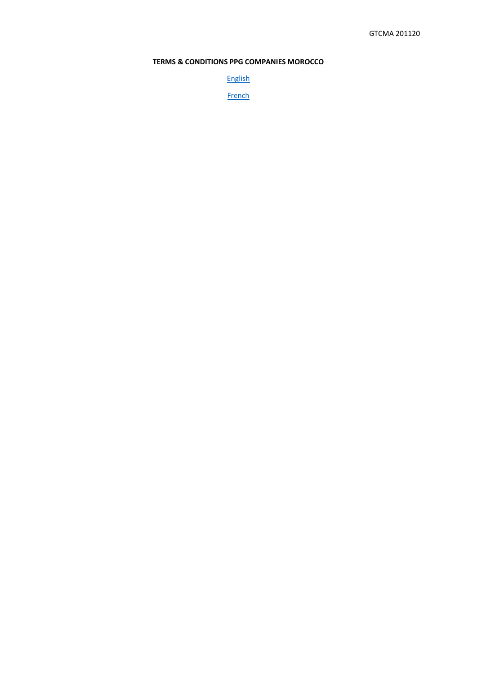# **TERMS & CONDITIONS PPG COMPANIES MOROCCO**

[English](#page-1-0)

**[French](#page-3-0)**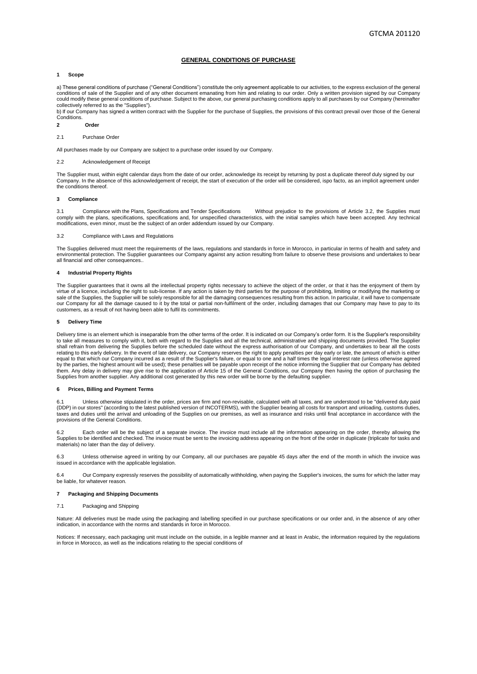# **GENERAL CONDITIONS OF PURCHASE**

# <span id="page-1-0"></span>**1 Scope**

a) These general conditions of purchase ("General Conditions") constitute the only agreement applicable to our activities, to the express exclusion of the general conditions of sale of the Supplier and of any other document emanating from him and relating to our order. Only a written provision signed by our Company could modify these general conditions of purchase. Subject to the above, our general purchasing conditions apply to all purchases by our Company (hereinafter collectively referred to as the "Supplies").

b) If our Company has signed a written contract with the Supplier for the purchase of Supplies, the provisions of this contract prevail over those of the General Conditions.

- **2 Order**
- 2.1 Purchase Order

All purchases made by our Company are subject to a purchase order issued by our Company.

# 2.2 Acknowledgement of Receipt

The Supplier must, within eight calendar days from the date of our order, acknowledge its receipt by returning by post a duplicate thereof duly signed by our Company. In the absence of this acknowledgement of receipt, the start of execution of the order will be considered, ispo facto, as an implicit agreement under the conditions thereof.

### **3 Compliance**

3.1 Compliance with the Plans, Specifications and Tender Specifications Without prejudice to the provisions of Article 3.2, the Supplies must comply with the plans, specifications, specifications and, for unspecified characteristics, with the initial samples which have been accepted. Any technical modifications, even minor, must be the subject of an order addendum issued by our Company.

### 3.2 Compliance with Laws and Regulations

The Supplies delivered must meet the requirements of the laws, regulations and standards in force in Morocco, in particular in terms of health and safety and environmental protection. The Supplier guarantees our Company against any action resulting from failure to observe these provisions and undertakes to bear all financial and other consequences...

### **4 Industrial Property Rights**

The Supplier guarantees that it owns all the intellectual property rights necessary to achieve the object of the order, or that it has the enjoyment of them by virtue of a licence, including the right to sub-license. If any action is taken by third parties for the purpose of prohibiting, limiting or modifying the marketing or sale of the Supplies, the Supplier will be solely responsible for all the damaging consequences resulting from this action. In particular, it will have to compensate<br>our Company for all the damage caused to it by the total customers, as a result of not having been able to fulfil its commitments.

### **5 Delivery Time**

Delivery time is an element which is inseparable from the other terms of the order. It is indicated on our Company's order form. It is the Supplier's responsibility to take all measures to comply with it, both with regard to the Supplies and all the technical, administrative and shipping documents provided. The Supplier<br>shall refrain from delivering the Supplies before the scheduled d relating to this early delivery. In the event of late delivery, our Company reserves the right to apply penalties per day early or late, the amount of which is either equal to that which our Company incurred as a result of the Supplier's failure, or equal to one and a half times the legal interest rate (unless otherwise agreed<br>by the parties, the highest amount will be used); these pena Supplies from another supplier. Any additional cost generated by this new order will be borne by the defaulting supplier.

# **6 Prices, Billing and Payment Terms**

6.1 Unless otherwise stipulated in the order, prices are firm and non-revisable, calculated with all taxes, and are understood to be "delivered duty paid<br>(DDP) in our stores" (according to the latest published version of I taxes and duties until the arrival and unloading of the Supplies on our premises, as well as insurance and risks until final acceptance in accordance with the provisions of the General Conditions.

6.2 Each order will be the subject of a separate invoice. The invoice must include all the information appearing on the order, thereby allowing the Supplies to be identified and checked. The invoice must be sent to the invoicing address appearing on the front of the order in duplicate (triplicate for tasks and materials) no later than the day of delivery.

6.3 Unless otherwise agreed in writing by our Company, all our purchases are payable 45 days after the end of the month in which the invoice was issued in accordance with the applicable legislation.

6.4 Our Company expressly reserves the possibility of automatically withholding, when paying the Supplier's invoices, the sums for which the latter may be liable, for whatever reason.

# **7 Packaging and Shipping Documents**

### 7.1 Packaging and Shipping

Nature: All deliveries must be made using the packaging and labelling specified in our purchase specifications or our order and, in the absence of any other indication, in accordance with the norms and standards in force in Morocco.

Notices: If necessary, each packaging unit must include on the outside, in a legible manner and at least in Arabic, the information required by the regulations in force in Morocco, as well as the indications relating to the special conditions of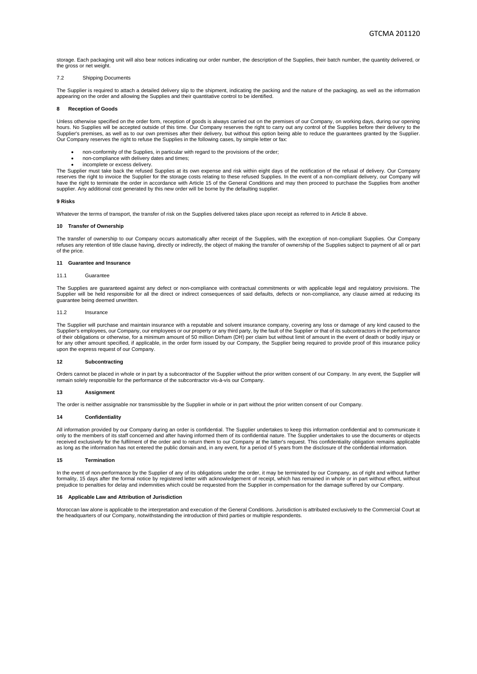storage. Each packaging unit will also bear notices indicating our order number, the description of the Supplies, their batch number, the quantity delivered, or the gross or net weight.

### 7.2 Shipping Documents

The Supplier is required to attach a detailed delivery slip to the shipment, indicating the packing and the nature of the packaging, as well as the information appearing on the order and allowing the Supplies and their quantitative control to be identified.

### **8 Reception of Goods**

Unless otherwise specified on the order form, reception of goods is always carried out on the premises of our Company, on working days, during our opening hours. No Supplies will be accepted outside of this time. Our Company reserves the right to carry out any control of the Supplies before their delivery to the<br>Supplier's premises, as well as to our own premises after their Our Company reserves the right to refuse the Supplies in the following cases, by simple letter or fax:

- non-conformity of the Supplies, in particular with regard to the provisions of the order;
- non-compliance with delivery dates and times:
- incomplete or excess delivery.

The Supplier must take back the refused Supplies at its own expense and risk within eight days of the notification of the refusal of delivery. Our Company reserves the right to invoice the Supplier for the storage costs relating to these refused Supplies. In the event of a non-compliant delivery, our Company will have the right to terminate the order in accordance with Article 15 of the General Conditions and may then proceed to purchase the Supplies from another supplier. Any additional cost generated by this new order will be borne by the defaulting supplier.

### **9 Risks**

Whatever the terms of transport, the transfer of risk on the Supplies delivered takes place upon receipt as referred to in Article 8 above.

### **10 Transfer of Ownership**

The transfer of ownership to our Company occurs automatically after receipt of the Supplies, with the exception of non-compliant Supplies. Our Company refuses any retention of title clause having, directly or indirectly, the object of making the transfer of ownership of the Supplies subject to payment of all or part of the price.

### **11 Guarantee and Insurance**

### 11.1 Guarantee

The Supplies are guaranteed against any defect or non-compliance with contractual commitments or with applicable legal and regulatory provisions. The Supplier will be held responsible for all the direct or indirect consequences of said defaults, defects or non-compliance, any clause aimed at reducing its guarantee being deemed unwritten.

### 11.2 Insurance

The Supplier will purchase and maintain insurance with a reputable and solvent insurance company, covering any loss or damage of any kind caused to the Supplier's employees, our Company, our employees or our property or any third party, by the fault of the Supplier or that of its subcontractors in the performance<br>of their obligations or otherwise, for a minimum amount of for any other amount specified, if applicable, in the order form issued by our Company, the Supplier being required to provide proof of this insurance policy upon the express request of our Company.

# **12 Subcontracting**

Orders cannot be placed in whole or in part by a subcontractor of the Supplier without the prior written consent of our Company. In any event, the Supplier will remain solely responsible for the performance of the subcontractor vis-à-vis our Company.

#### **13 Assignment**

The order is neither assignable nor transmissible by the Supplier in whole or in part without the prior written consent of our Company.

# **14 Confidentiality**

All information provided by our Company during an order is confidential. The Supplier undertakes to keep this information confidential and to communicate it only to the members of its staff concerned and after having informed them of its confidential nature. The Supplier undertakes to use the documents or objects received exclusively for the fulfilment of the order and to return them to our Company at the latter's request. This confidentiality obligation remains applicable as long as the information has not entered the public domain and, in any event, for a period of 5 years from the disclosure of the confidential information.

#### **15 Termination**

In the event of non-performance by the Supplier of any of its obligations under the order, it may be terminated by our Company, as of right and without further<br>formality, 15 days after the formal notice by registered lette prejudice to penalties for delay and indemnities which could be requested from the Supplier in compensation for the damage suffered by our Company.

#### **16 Applicable Law and Attribution of Jurisdiction**

Moroccan law alone is applicable to the interpretation and execution of the General Conditions. Jurisdiction is attributed exclusively to the Commercial Court at the headquarters of our Company, notwithstanding the introduction of third parties or multiple respondents.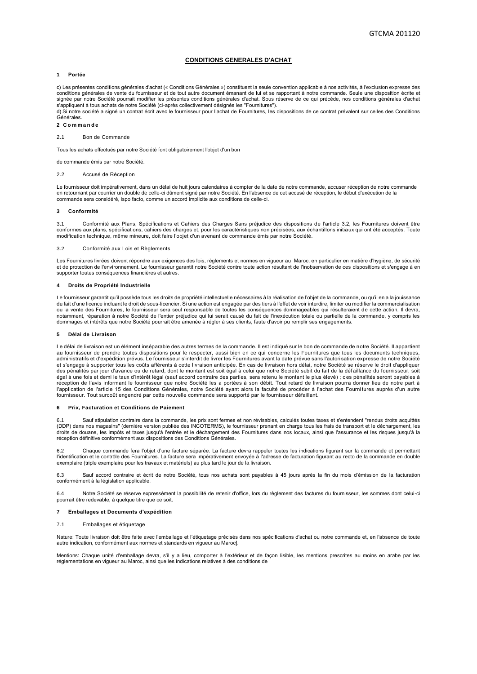# **CONDITIONS GENERALES D'ACHAT**

# <span id="page-3-0"></span>**1 Portée**

c) Les présentes conditions générales d'achat (« Conditions Générales ») constituent la seule convention applicable à nos activités, à l'exclusion expresse des conditions générales de vente du fournisseur et de tout autre document émanant de lui et se rapportant à notre commande. Seule une disposition écrite et signée par notre Société pourrait modifier les présentes conditions générales d'achat. Sous réserve de ce qui précède, nos conditions générales d'achat s'appliquent à tous achats de notre Société (ci-après collectivement désignés les "Fournitures").

d) Si notre société a signé un contrat écrit avec le fournisseur pour l'achat de Fournitures, les dispositions de ce contrat prévalent sur celles des Conditions Générales.

# **2 C o m m a n d e**

2.1 Bon de Commande

Tous les achats effectués par notre Société font obligatoirement l'objet d'un bon

de commande émis par notre Société.

### 2.2 Accusé de Réception

Le fournisseur doit impérativement, dans un délai de huit jours calendaires à compter de la date de notre commande, accuser réception de notre commande en retournant par courrier un double de celle-ci dûment signé par notre Société. En l'absence de cet accusé de réception, le début d'exécution de la commande sera considéré, ispo facto, comme un accord implicite aux conditions de celle-ci.

#### **3 Conformité**

3.1 Conformité aux Plans, Spécifications et Cahiers des Charges Sans préjudice des dispositions de l'article 3.2, les Fournitures doivent être conformes aux plans, spécifications, cahiers des charges et, pour les caractéristiques non précisées, aux échantillons initiaux qui ont été acceptés. Toute modification technique, même mineure, doit faire l'objet d'un avenant de commande émis par notre Société.

### 3.2 Conformité aux Lois et Règlements

Les Fournitures livrées doivent répondre aux exigences des lois, règlements et normes en vigueur au Maroc, en particulier en matière d'hygiène, de sécurité et de protection de l'environnement. Le fournisseur garantit notre Société contre toute action résultant de l'inobservation de ces dispositions et s'engage à en supporter toutes conséquences financières et autres.

### **4 Droits de Propriété Industrielle**

Le fournisseur garantit qu'il possède tous les droits de propriété intellectuelle nécessaires à la réalisation de l'obiet de la commande, ou qu'il en a la jouissance du fait d'une licence incluant le droit de sous-licencier. Si une action est engagée par des tiers à l'effet de voir interdire, limiter ou modifier la commercialisation ou la vente des Fournitures, le fournisseur sera seul responsable de toutes les conséquences dommageables qui résulteraient de cette action. Il devra, notamment, réparation à notre Société de l'entier préjudice qui lui serait causé du fait de l'inexécution totale ou partielle de la commande, y compris les<br>dommages et intérêts que notre Société pourrait être amenée à régl

#### **5 Délai de Livraison**

Le délai de livraison est un élément inséparable des autres termes de la commande. Il est indiqué sur le bon de commande de notre Société. Il appartient au fournisseur de prendre toutes dispositions pour le respecter, aussi bien en ce qui concerne les Fournitures que tous les documents techniques, administratifs et d'expédition prévus. Le fournisseur s'interdit de livrer les Fournitures avant la date prévue sans l'autori sation expresse de notre Société et s'engage à supporter tous les coûts afférents à cette livraison anticipée. En cas de livraison hors délai, notre Société se réserve le droit d'appliquer des pénalités par jour d'avance ou de retard, dont le montant est soit égal à celui que notre Société subit du fait de la déf aillance du fournisseur, soit égal à une fois et demi le taux d'intérêt légal (sauf accord contraire des parties, sera retenu le montant le plus élevé) ; c es pénalités seront payables à réception de l'avis informant le fournisseur que notre Société les a portées à son débit. Tout retard de livraison pourra donner lieu de notre part à l'application de l'article 15 des Conditions Générales, notre Société ayant alors la faculté de procéder à l'achat des Fourni tures auprès d'un autre fournisseur. Tout surcoût engendré par cette nouvelle commande sera supporté par le fournisseur défaillant.

#### **6 Prix, Facturation et Conditions de Paiement**

Sauf stipulation contraire dans la commande, les prix sont fermes et non révisables, calculés toutes taxes et s'entendent "rendus droits acquittés (DDP) dans nos magasins" (dernière version publiée des INCOTERMS), le fournisseur prenant en charge tous les frais de transport et le déchargement, les<br>droits de douane, les impôts et taxes jusqu'à l'entrée et le déchargem réception définitive conformément aux dispositions des Conditions Générales.

6.2 Chaque commande fera l'objet d'une facture séparée. La facture devra rappeler toutes les indications figurant sur la commande et permettant<br>l'identification et le contrôle des Fournitures. La facture sera impérativemen exemplaire (triple exemplaire pour les travaux et matériels) au plus tard le jour de la livraison.

6.3 Sauf accord contraire et écrit de notre Société, tous nos achats sont payables à 45 jours après la fin du mois d'émission de la facturation conformément à la législation applicable.

6.4 Notre Société se réserve expressément la possibilité de retenir d'office, lors du règlement des factures du fournisseur, les sommes dont celui-ci pourrait être redevable, à quelque titre que ce soit.

# **7 Emballages et Documents d'expédition**

#### 7.1 Emballages et étiquetage

Nature: Toute livraison doit être faite avec l'emballage et l'étiquetage précisés dans nos spécifications d'achat ou notre commande et, en l'absence de toute autre indication, conformément aux normes et standards en vigueur au Maroc].

Mentions: Chaque unité d'emballage devra, s'il y a lieu, comporter à l'extérieur et de façon lisible, les mentions prescrites au moins en arabe par les réglementations en vigueur au Maroc, ainsi que les indications relatives à des conditions de